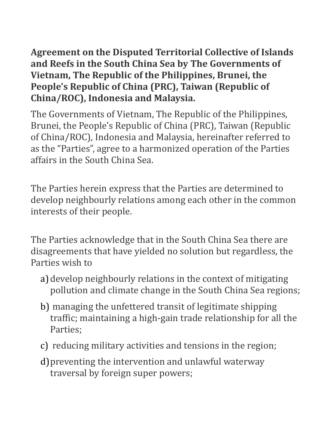**Agreement on the Disputed Territorial Collective of Islands and Reefs in the South China Sea by The Governments of Vietnam, The Republic of the Philippines, Brunei, the People's Republic of China (PRC), Taiwan (Republic of China/ROC), Indonesia and Malaysia.**

The Governments of Vietnam, The Republic of the Philippines, Brunei, the People's Republic of China (PRC), Taiwan (Republic of China/ROC), Indonesia and Malaysia, hereinafter referred to as the "Parties", agree to a harmonized operation of the Parties affairs in the South China Sea.

The Parties herein express that the Parties are determined to develop neighbourly relations among each other in the common interests of their people.

The Parties acknowledge that in the South China Sea there are disagreements that have yielded no solution but regardless, the Parties wish to

- a) develop neighbourly relations in the context of mitigating pollution and climate change in the South China Sea regions;
- b) managing the unfettered transit of legitimate shipping traffic; maintaining a high-gain trade relationship for all the Parties;
- c) reducing military activities and tensions in the region;
- d)preventing the intervention and unlawful waterway traversal by foreign super powers;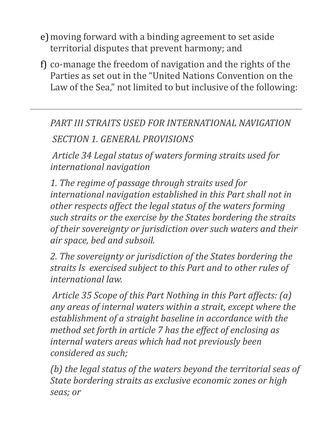- e)moving forward with a binding agreement to set aside territorial disputes that prevent harmony; and
- f) co-manage the freedom of navigation and the rights of the Parties as set out in the "United Nations Convention on the Law of the Sea," not limited to but inclusive of the following:

*PART III STRAITS USED FOR INTERNATIONAL NAVIGATION SECTION 1. GENERAL PROVISIONS*

*Article 34 Legal status of waters forming straits used for international navigation* 

*1. The regime of passage through straits used for international navigation established in this Part shall not in other respects affect the legal status of the waters forming such straits or the exercise by the States bordering the straits of their sovereignty or jurisdiction over such waters and their air space, bed and subsoil.* 

*2. The sovereignty or jurisdiction of the States bordering the straits Is exercised subject to this Part and to other rules of international law.*

*Article 35 Scope of this Part Nothing in this Part affects: (a) any areas of internal waters within a strait, except where the establishment of a straight baseline in accordance with the method set forth in article 7 has the effect of enclosing as internal waters areas which had not previously been considered as such;* 

*(b) the legal status of the waters beyond the territorial seas of State bordering straits as exclusive economic zones or high seas; or*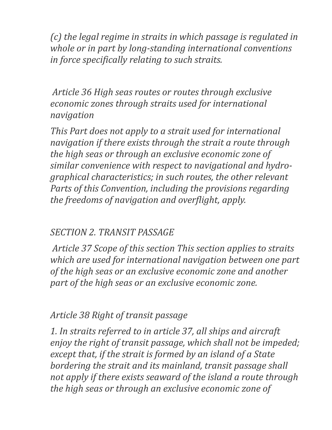*(c) the legal regime in straits in which passage is regulated in whole or in part by long-standing international conventions in force specifically relating to such straits.*

*Article 36 High seas routes or routes through exclusive economic zones through straits used for international navigation*

*This Part does not apply to a strait used for international navigation if there exists through the strait a route through the high seas or through an exclusive economic zone of similar convenience with respect to navigational and hydrographical characteristics; in such routes, the other relevant Parts of this Convention, including the provisions regarding the freedoms of navigation and overflight, apply.* 

#### *SECTION 2. TRANSIT PASSAGE*

*Article 37 Scope of this section This section applies to straits which are used for international navigation between one part of the high seas or an exclusive economic zone and another part of the high seas or an exclusive economic zone.* 

#### *Article 38 Right of transit passage*

*1. In straits referred to in article 37, all ships and aircraft enjoy the right of transit passage, which shall not be impeded; except that, if the strait is formed by an island of a State bordering the strait and its mainland, transit passage shall not apply if there exists seaward of the island a route through the high seas or through an exclusive economic zone of*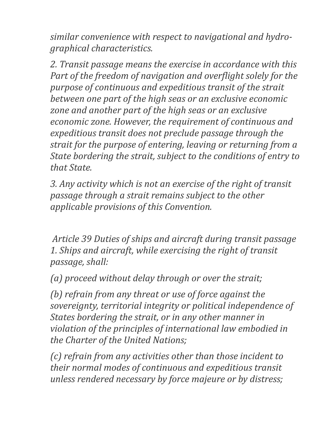*similar convenience with respect to navigational and hydrographical characteristics.*

*2. Transit passage means the exercise in accordance with this Part of the freedom of navigation and overflight solely for the purpose of continuous and expeditious transit of the strait between one part of the high seas or an exclusive economic zone and another part of the high seas or an exclusive economic zone. However, the requirement of continuous and expeditious transit does not preclude passage through the strait for the purpose of entering, leaving or returning from a State bordering the strait, subject to the conditions of entry to that State.* 

*3. Any activity which is not an exercise of the right of transit passage through a strait remains subject to the other applicable provisions of this Convention.*

*Article 39 Duties of ships and aircraft during transit passage 1. Ships and aircraft, while exercising the right of transit passage, shall:* 

*(a) proceed without delay through or over the strait;* 

*(b) refrain from any threat or use of force against the sovereignty, territorial integrity or political independence of States bordering the strait, or in any other manner in violation of the principles of international law embodied in the Charter of the United Nations;* 

*(c) refrain from any activities other than those incident to their normal modes of continuous and expeditious transit unless rendered necessary by force majeure or by distress;*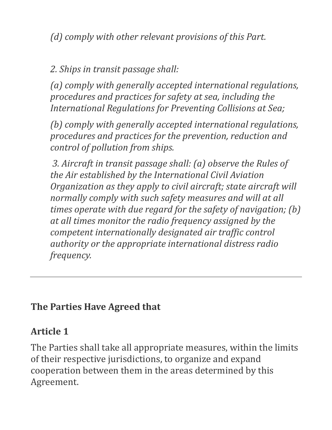*(d) comply with other relevant provisions of this Part.*

#### *2. Ships in transit passage shall:*

*(a) comply with generally accepted international regulations, procedures and practices for safety at sea, including the International Regulations for Preventing Collisions at Sea;* 

*(b) comply with generally accepted international regulations, procedures and practices for the prevention, reduction and control of pollution from ships.*

*3. Aircraft in transit passage shall: (a) observe the Rules of the Air established by the International Civil Aviation Organization as they apply to civil aircraft; state aircraft will normally comply with such safety measures and will at all times operate with due regard for the safety of navigation; (b) at all times monitor the radio frequency assigned by the competent internationally designated air traffic control authority or the appropriate international distress radio frequency.*

#### **The Parties Have Agreed that**

#### **Article 1**

The Parties shall take all appropriate measures, within the limits of their respective jurisdictions, to organize and expand cooperation between them in the areas determined by this Agreement.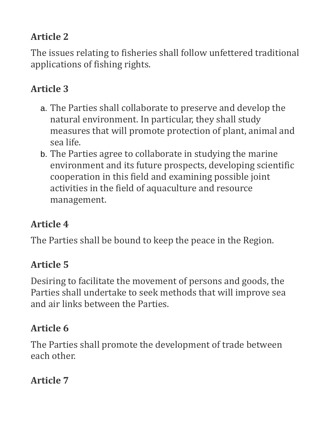### **Article 2**

The issues relating to fisheries shall follow unfettered traditional applications of fishing rights.

# **Article 3**

- a. The Parties shall collaborate to preserve and develop the natural environment. In particular, they shall study measures that will promote protection of plant, animal and sea life.
- b. The Parties agree to collaborate in studying the marine environment and its future prospects, developing scientific cooperation in this field and examining possible joint activities in the field of aquaculture and resource management.

# **Article 4**

The Parties shall be bound to keep the peace in the Region.

# **Article 5**

Desiring to facilitate the movement of persons and goods, the Parties shall undertake to seek methods that will improve sea and air links between the Parties.

# **Article 6**

The Parties shall promote the development of trade between each other.

### **Article 7**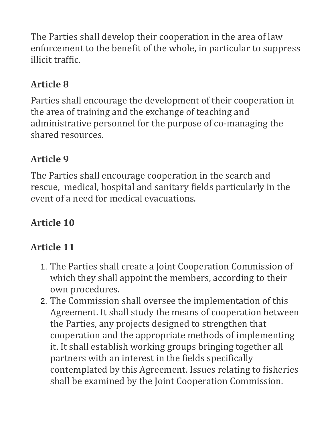The Parties shall develop their cooperation in the area of law enforcement to the benefit of the whole, in particular to suppress illicit traffic.

### **Article 8**

Parties shall encourage the development of their cooperation in the area of training and the exchange of teaching and administrative personnel for the purpose of co-managing the shared resources.

# **Article 9**

The Parties shall encourage cooperation in the search and rescue, medical, hospital and sanitary fields particularly in the event of a need for medical evacuations.

# **Article 10**

# **Article 11**

- 1. The Parties shall create a Joint Cooperation Commission of which they shall appoint the members, according to their own procedures.
- 2. The Commission shall oversee the implementation of this Agreement. It shall study the means of cooperation between the Parties, any projects designed to strengthen that cooperation and the appropriate methods of implementing it. It shall establish working groups bringing together all partners with an interest in the fields specifically contemplated by this Agreement. Issues relating to fisheries shall be examined by the Joint Cooperation Commission.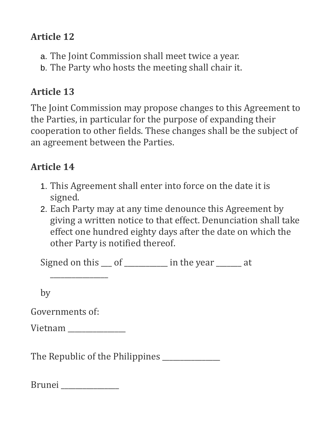#### **Article 12**

- a. The Joint Commission shall meet twice a year.
- b. The Party who hosts the meeting shall chair it.

### **Article 13**

The Joint Commission may propose changes to this Agreement to the Parties, in particular for the purpose of expanding their cooperation to other fields. These changes shall be the subject of an agreement between the Parties.

### **Article 14**

- 1. This Agreement shall enter into force on the date it is signed.
- 2. Each Party may at any time denounce this Agreement by giving a written notice to that effect. Denunciation shall take effect one hundred eighty days after the date on which the other Party is notified thereof.

Signed on this <u>o</u> of <u>equal</u> of  $\frac{1}{\sqrt{1-\frac{1}{n}}}\$  in the year  $\frac{1}{\sqrt{1-\frac{1}{n}}}\$ 

by

Governments of:

Vietnam \_\_\_\_\_\_\_\_\_\_\_\_\_\_\_\_

\_\_\_\_\_\_\_\_\_\_\_\_\_\_\_\_

The Republic of the Philippines

| $\sim$<br><b>Brup</b><br>LU 1 |  |
|-------------------------------|--|
|                               |  |